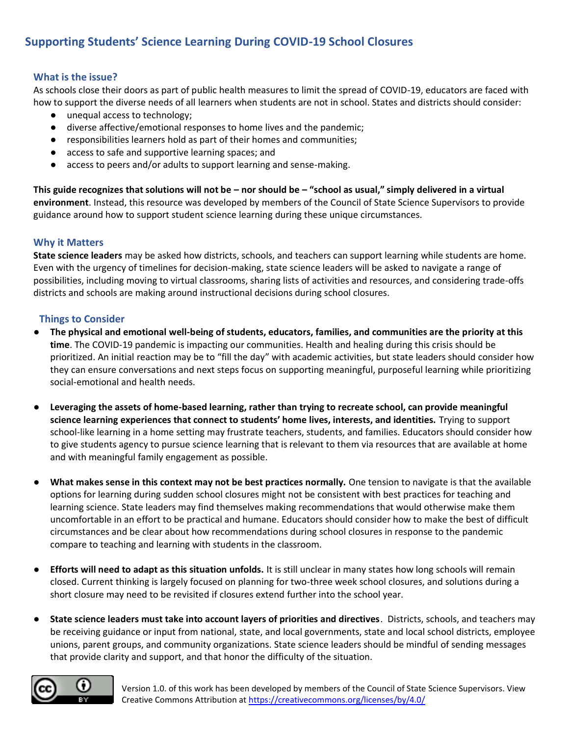# **Supporting Students' Science Learning During COVID-19 School Closures**

## **What is the issue?**

As schools close their doors as part of public health measures to limit the spread of COVID-19, educators are faced with how to support the diverse needs of all learners when students are not in school. States and districts should consider:

- unequal access to technology;
- diverse affective/emotional responses to home lives and the pandemic;
- responsibilities learners hold as part of their homes and communities;
- access to safe and supportive learning spaces; and
- access to peers and/or adults to support learning and sense-making.

**This guide recognizes that solutions will not be – nor should be – "school as usual," simply delivered in a virtual environment**. Instead, this resource was developed by members of the Council of State Science Supervisors to provide guidance around how to support student science learning during these unique circumstances.

#### **Why it Matters**

**State science leaders** may be asked how districts, schools, and teachers can support learning while students are home. Even with the urgency of timelines for decision-making, state science leaders will be asked to navigate a range of possibilities, including moving to virtual classrooms, sharing lists of activities and resources, and considering trade-offs districts and schools are making around instructional decisions during school closures.

#### **Things to Consider**

- **The physical and emotional well-being of students, educators, families, and communities are the priority at this time**. The COVID-19 pandemic is impacting our communities. Health and healing during this crisis should be prioritized. An initial reaction may be to "fill the day" with academic activities, but state leaders should consider how they can ensure conversations and next steps focus on supporting meaningful, purposeful learning while prioritizing social-emotional and health needs.
- **Leveraging the assets of home-based learning, rather than trying to recreate school, can provide meaningful science learning experiences that connect to students' home lives, interests, and identities.** Trying to support school-like learning in a home setting may frustrate teachers, students, and families. Educators should consider how to give students agency to pursue science learning that is relevant to them via resources that are available at home and with meaningful family engagement as possible.
- **What makes sense in this context may not be best practices normally.** One tension to navigate is that the available options for learning during sudden school closures might not be consistent with best practices for teaching and learning science. State leaders may find themselves making recommendations that would otherwise make them uncomfortable in an effort to be practical and humane. Educators should consider how to make the best of difficult circumstances and be clear about how recommendations during school closures in response to the pandemic compare to teaching and learning with students in the classroom.
- **Efforts will need to adapt as this situation unfolds.** It is still unclear in many states how long schools will remain closed. Current thinking is largely focused on planning for two-three week school closures, and solutions during a short closure may need to be revisited if closures extend further into the school year.
- **State science leaders must take into account layers of priorities and directives**. Districts, schools, and teachers may be receiving guidance or input from national, state, and local governments, state and local school districts, employee unions, parent groups, and community organizations. State science leaders should be mindful of sending messages that provide clarity and support, and that honor the difficulty of the situation.

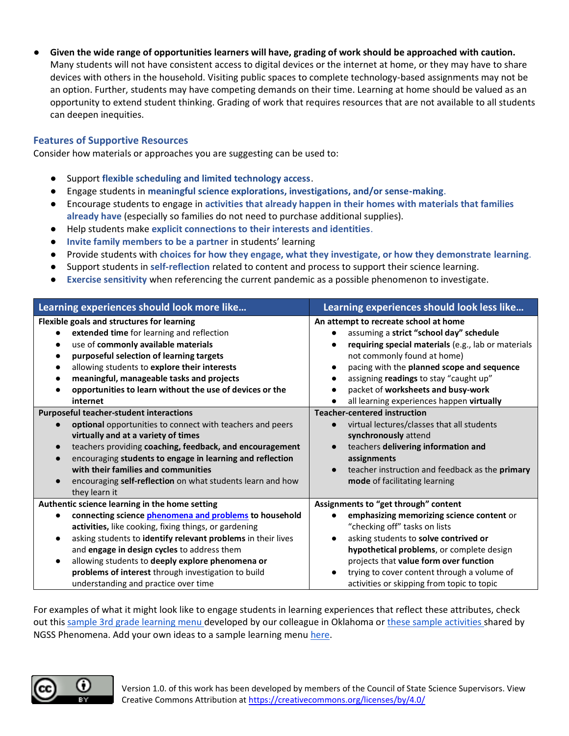● **Given the wide range of opportunities learners will have, grading of work should be approached with caution.**  Many students will not have consistent access to digital devices or the internet at home, or they may have to share devices with others in the household. Visiting public spaces to complete technology-based assignments may not be an option. Further, students may have competing demands on their time. Learning at home should be valued as an opportunity to extend student thinking. Grading of work that requires resources that are not available to all students can deepen inequities.

## **Features of Supportive Resources**

Consider how materials or approaches you are suggesting can be used to:

- Support **flexible scheduling and limited technology access**.
- Engage students in **meaningful science explorations, investigations, and/or sense-making**.
- Encourage students to engage in **activities that already happen in their homes with materials that families already have** (especially so families do not need to purchase additional supplies).
- Help students make **explicit connections to their interests and identities**.
- **Invite family members to be a partner** in students' learning
- Provide students with **choices for how they engage, what they investigate, or how they demonstrate learning**.
- Support students in **self-reflection** related to content and process to support their science learning.
- **Exercise sensitivity** when referencing the current pandemic as a possible phenomenon to investigate.

| Learning experiences should look more like                                                                                                                                                                                                                                                                                                                                                                                                                    | Learning experiences should look less like                                                                                                                                                                                                                                                                                                        |
|---------------------------------------------------------------------------------------------------------------------------------------------------------------------------------------------------------------------------------------------------------------------------------------------------------------------------------------------------------------------------------------------------------------------------------------------------------------|---------------------------------------------------------------------------------------------------------------------------------------------------------------------------------------------------------------------------------------------------------------------------------------------------------------------------------------------------|
| Flexible goals and structures for learning<br>extended time for learning and reflection<br>use of commonly available materials<br>purposeful selection of learning targets<br>allowing students to explore their interests<br>meaningful, manageable tasks and projects<br>opportunities to learn without the use of devices or the<br>internet                                                                                                               | An attempt to recreate school at home<br>assuming a strict "school day" schedule<br>requiring special materials (e.g., lab or materials<br>not commonly found at home)<br>pacing with the planned scope and sequence<br>assigning readings to stay "caught up"<br>packet of worksheets and busy-work<br>all learning experiences happen virtually |
| <b>Purposeful teacher-student interactions</b><br>optional opportunities to connect with teachers and peers<br>virtually and at a variety of times<br>teachers providing coaching, feedback, and encouragement<br>encouraging students to engage in learning and reflection<br>with their families and communities<br>encouraging self-reflection on what students learn and how<br>they learn it                                                             | <b>Teacher-centered instruction</b><br>virtual lectures/classes that all students<br>synchronously attend<br>teachers delivering information and<br>assignments<br>teacher instruction and feedback as the primary<br>mode of facilitating learning                                                                                               |
| Authentic science learning in the home setting<br>connecting science phenomena and problems to household<br>activities, like cooking, fixing things, or gardening<br>asking students to identify relevant problems in their lives<br>$\bullet$<br>and engage in design cycles to address them<br>allowing students to deeply explore phenomena or<br>$\bullet$<br>problems of interest through investigation to build<br>understanding and practice over time | Assignments to "get through" content<br>emphasizing memorizing science content or<br>"checking off" tasks on lists<br>asking students to solve contrived or<br>hypothetical problems, or complete design<br>projects that value form over function<br>trying to cover content through a volume of<br>activities or skipping from topic to topic   |

For examples of what it might look like to engage students in learning experiences that reflect these attributes, check out thi[s sample 3rd grade learning menu d](https://www.sapulpaps.org/UserFiles/Servers/Server_669738/File/Sapulpa/SCHOOLS/LearningMenu1_3rdGrade.pdf)eveloped by our colleague in Oklahoma or [these sample activities s](https://www.ngssphenomena.com/virtual-science-education)hared by NGSS Phenomena. Add your own ideas to a sample learning menu [here.](https://docs.google.com/document/d/1Ku-5B7gKKxOIqwi5Bo2wNrEbWv19eca0XwicJSrdNOM/edit?usp=sharing)